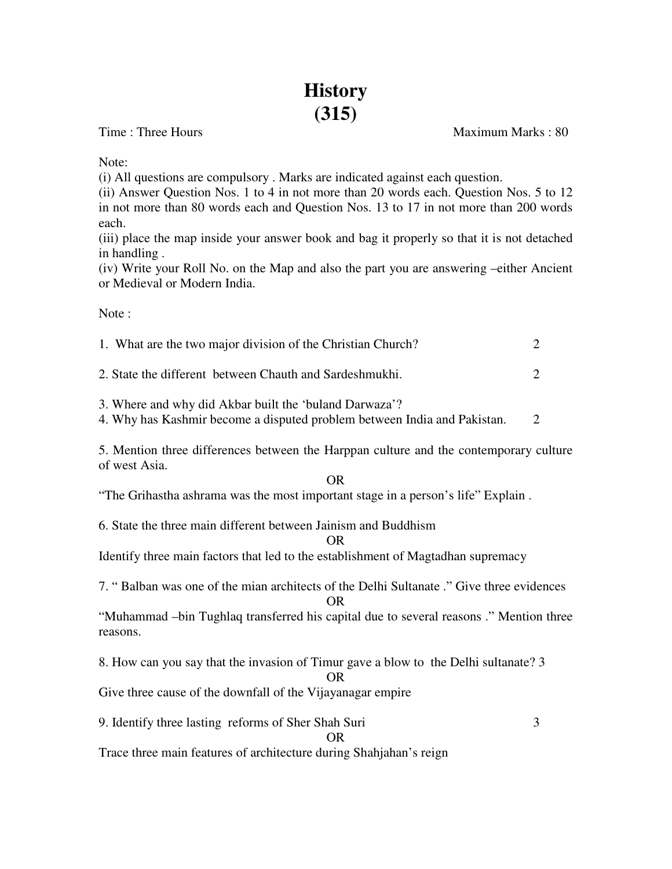# **History (315)**

Time : Three Hours **Maximum Marks** : 80

Note:

(i) All questions are compulsory . Marks are indicated against each question.

(ii) Answer Question Nos. 1 to 4 in not more than 20 words each. Question Nos. 5 to 12 in not more than 80 words each and Question Nos. 13 to 17 in not more than 200 words each.

(iii) place the map inside your answer book and bag it properly so that it is not detached in handling .

(iv) Write your Roll No. on the Map and also the part you are answering –either Ancient or Medieval or Modern India.

Note :

| 1. What are the two major division of the Christian Church? |  |
|-------------------------------------------------------------|--|
| 2. State the different between Chauth and Sardeshmukhi.     |  |

3. Where and why did Akbar built the 'buland Darwaza'?

4. Why has Kashmir become a disputed problem between India and Pakistan. 2

5. Mention three differences between the Harppan culture and the contemporary culture of west Asia.

OR

"The Grihastha ashrama was the most important stage in a person's life" Explain .

6. State the three main different between Jainism and Buddhism

OR

Identify three main factors that led to the establishment of Magtadhan supremacy

7. " Balban was one of the mian architects of the Delhi Sultanate ." Give three evidences OR

"Muhammad –bin Tughlaq transferred his capital due to several reasons ." Mention three reasons.

8. How can you say that the invasion of Timur gave a blow to the Delhi sultanate? 3 OR

Give three cause of the downfall of the Vijayanagar empire

9. Identify three lasting reforms of Sher Shah Suri 3

## OR

Trace three main features of architecture during Shahjahan's reign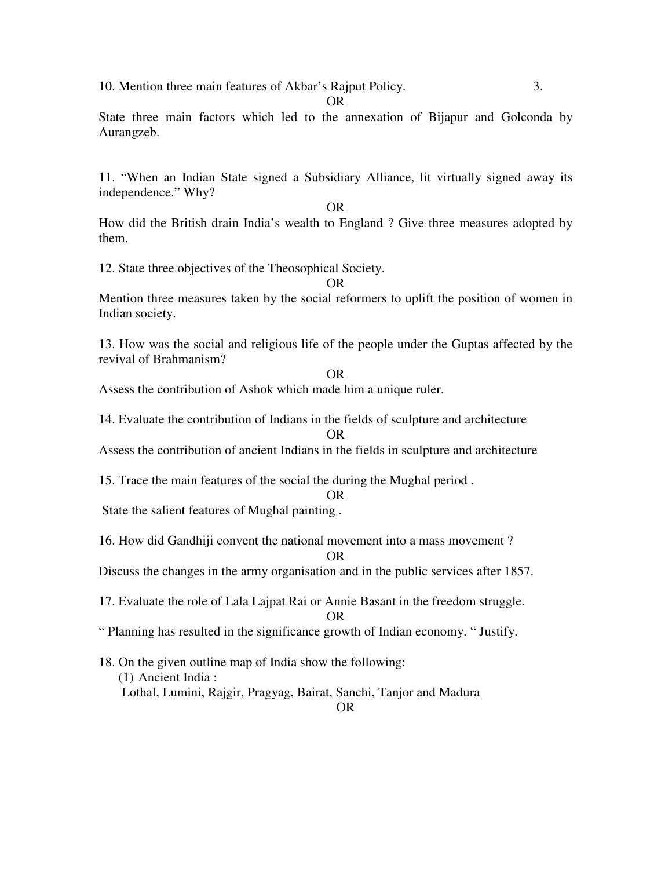10. Mention three main features of Akbar's Rajput Policy. 3.

State three main factors which led to the annexation of Bijapur and Golconda by Aurangzeb.

OR

11. "When an Indian State signed a Subsidiary Alliance, lit virtually signed away its independence." Why?

OR

How did the British drain India's wealth to England ? Give three measures adopted by them.

12. State three objectives of the Theosophical Society.

OR

Mention three measures taken by the social reformers to uplift the position of women in Indian society.

13. How was the social and religious life of the people under the Guptas affected by the revival of Brahmanism?

#### OR

Assess the contribution of Ashok which made him a unique ruler.

14. Evaluate the contribution of Indians in the fields of sculpture and architecture OR

Assess the contribution of ancient Indians in the fields in sculpture and architecture

15. Trace the main features of the social the during the Mughal period .

OR

State the salient features of Mughal painting .

16. How did Gandhiji convent the national movement into a mass movement ?

### OR

Discuss the changes in the army organisation and in the public services after 1857.

17. Evaluate the role of Lala Lajpat Rai or Annie Basant in the freedom struggle.

OR

" Planning has resulted in the significance growth of Indian economy. " Justify.

18. On the given outline map of India show the following: (1) Ancient India : Lothal, Lumini, Rajgir, Pragyag, Bairat, Sanchi, Tanjor and Madura